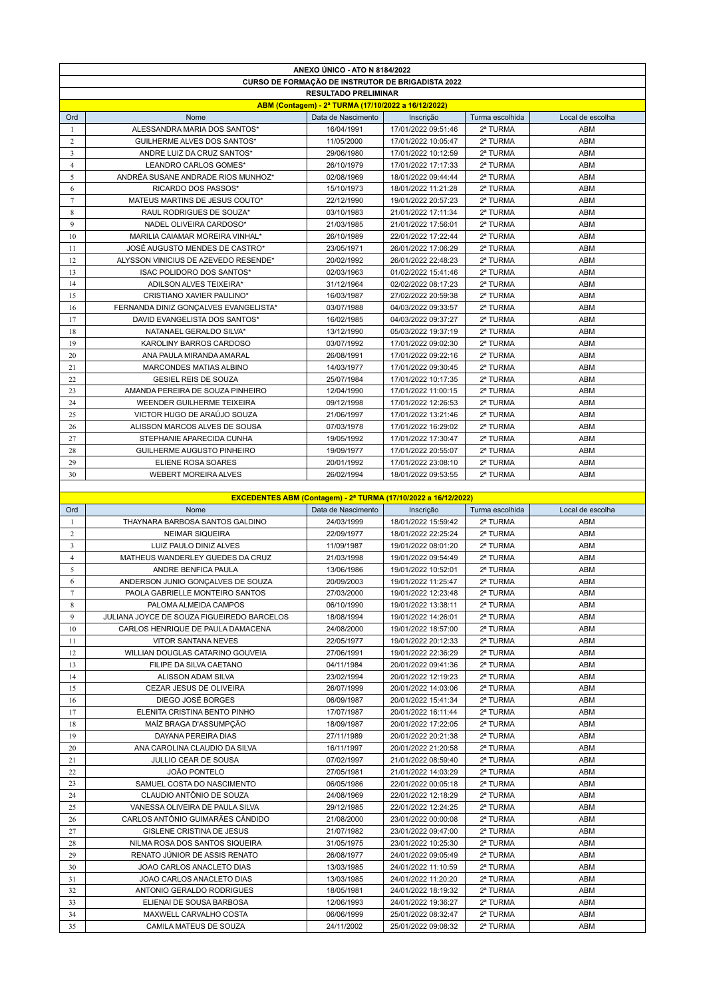|                         |                                                          | ANEXO ÚNICO - ATO N 8184/2022                       |                                                                       |                      |                  |  |  |
|-------------------------|----------------------------------------------------------|-----------------------------------------------------|-----------------------------------------------------------------------|----------------------|------------------|--|--|
|                         | <b>CURSO DE FORMAÇÃO DE INSTRUTOR DE BRIGADISTA 2022</b> |                                                     |                                                                       |                      |                  |  |  |
|                         | <b>RESULTADO PRELIMINAR</b>                              |                                                     |                                                                       |                      |                  |  |  |
|                         |                                                          | ABM (Contagem) - 2ª TURMA (17/10/2022 a 16/12/2022) |                                                                       |                      |                  |  |  |
| Ord                     | Nome                                                     | Data de Nascimento                                  | Inscrição                                                             | Turma escolhida      | Local de escolha |  |  |
| -1                      | ALESSANDRA MARIA DOS SANTOS*                             | 16/04/1991                                          | 17/01/2022 09:51:46                                                   | 2ª TURMA             | ABM              |  |  |
| 2                       | <b>GUILHERME ALVES DOS SANTOS*</b>                       | 11/05/2000                                          | 17/01/2022 10:05:47                                                   | 2ª TURMA             | ABM              |  |  |
| $\overline{3}$          | ANDRE LUIZ DA CRUZ SANTOS*                               | 29/06/1980                                          | 17/01/2022 10:12:59                                                   | 2ª TURMA             | ABM              |  |  |
| $\overline{4}$          | LEANDRO CARLOS GOMES*                                    | 26/10/1979                                          | 17/01/2022 17:17:33                                                   | 2ª TURMA             | ABM              |  |  |
| 5                       | ANDRÉA SUSANE ANDRADE RIOS MUNHOZ*                       | 02/08/1969                                          | 18/01/2022 09:44:44                                                   | 2ª TURMA             | ABM              |  |  |
| 6                       | RICARDO DOS PASSOS*                                      | 15/10/1973                                          | 18/01/2022 11:21:28                                                   | 2ª TURMA             | ABM              |  |  |
| $7\phantom{.0}$         | MATEUS MARTINS DE JESUS COUTO*                           | 22/12/1990                                          | 19/01/2022 20:57:23                                                   | 2ª TURMA             | ABM              |  |  |
|                         |                                                          |                                                     |                                                                       |                      |                  |  |  |
| 8                       | RAUL RODRIGUES DE SOUZA*                                 | 03/10/1983                                          | 21/01/2022 17:11:34                                                   | 2ª TURMA             | ABM              |  |  |
| 9                       | NADEL OLIVEIRA CARDOSO*                                  | 21/03/1985                                          | 21/01/2022 17:56:01                                                   | 2ª TURMA             | ABM              |  |  |
| 10                      | MARILIA CAIAMAR MOREIRA VINHAL*                          | 26/10/1989                                          | 22/01/2022 17:22:44                                                   | 2ª TURMA             | ABM              |  |  |
| 11                      | JOSÉ AUGUSTO MENDES DE CASTRO*                           | 23/05/1971                                          | 26/01/2022 17:06:29                                                   | 2ª TURMA             | ABM              |  |  |
| 12                      | ALYSSON VINICIUS DE AZEVEDO RESENDE*                     | 20/02/1992                                          | 26/01/2022 22:48:23                                                   | 2ª TURMA             | ABM              |  |  |
| 13                      | ISAC POLIDORO DOS SANTOS*                                | 02/03/1963                                          | 01/02/2022 15:41:46                                                   | 2ª TURMA             | ABM              |  |  |
| 14                      | ADILSON ALVES TEIXEIRA*                                  | 31/12/1964                                          | 02/02/2022 08:17:23                                                   | 2ª TURMA             | ABM              |  |  |
| 15                      | CRISTIANO XAVIER PAULINO*                                | 16/03/1987                                          | 27/02/2022 20:59:38                                                   | 2ª TURMA             | ABM              |  |  |
| 16                      | FERNANDA DINIZ GONÇALVES EVANGELISTA*                    | 03/07/1988                                          | 04/03/2022 09:33:57                                                   | 2ª TURMA             | ABM              |  |  |
| 17                      | DAVID EVANGELISTA DOS SANTOS*                            | 16/02/1985                                          | 04/03/2022 09:37:27                                                   | 2ª TURMA             | ABM              |  |  |
| 18                      | NATANAEL GERALDO SILVA*                                  | 13/12/1990                                          | 05/03/2022 19:37:19                                                   | 2ª TURMA             | ABM              |  |  |
| 19                      | KAROLINY BARROS CARDOSO                                  | 03/07/1992                                          | 17/01/2022 09:02:30                                                   | 2ª TURMA             | ABM              |  |  |
| 20                      | ANA PAULA MIRANDA AMARAL                                 | 26/08/1991                                          | 17/01/2022 09:22:16                                                   | 2ª TURMA             | ABM              |  |  |
| 21                      | MARCONDES MATIAS ALBINO                                  | 14/03/1977                                          | 17/01/2022 09:30:45                                                   | 2ª TURMA             | ABM              |  |  |
| 22                      | <b>GESIEL REIS DE SOUZA</b>                              | 25/07/1984                                          | 17/01/2022 10:17:35                                                   | 2ª TURMA             | ABM              |  |  |
| 23                      | AMANDA PEREIRA DE SOUZA PINHEIRO                         | 12/04/1990                                          | 17/01/2022 11:00:15                                                   | 2ª TURMA             | ABM              |  |  |
| 24                      | WEENDER GUILHERME TEIXEIRA                               | 09/12/1998                                          | 17/01/2022 12:26:53                                                   | 2ª TURMA             | ABM              |  |  |
| 25                      | VICTOR HUGO DE ARAÚJO SOUZA                              | 21/06/1997                                          | 17/01/2022 13:21:46                                                   | 2ª TURMA             | ABM              |  |  |
| 26                      | ALISSON MARCOS ALVES DE SOUSA                            | 07/03/1978                                          | 17/01/2022 16:29:02                                                   | 2ª TURMA             | ABM              |  |  |
| 27                      | STEPHANIE APARECIDA CUNHA                                | 19/05/1992                                          | 17/01/2022 17:30:47                                                   | 2ª TURMA             | ABM              |  |  |
| 28                      | GUILHERME AUGUSTO PINHEIRO                               | 19/09/1977                                          | 17/01/2022 20:55:07                                                   | 2ª TURMA             | ABM              |  |  |
| 29                      | ELIENE ROSA SOARES                                       | 20/01/1992                                          | 17/01/2022 23:08:10                                                   | 2ª TURMA             | ABM              |  |  |
|                         |                                                          |                                                     |                                                                       |                      |                  |  |  |
| 30                      | <b>WEBERT MOREIRA ALVES</b>                              | 26/02/1994                                          | 18/01/2022 09:53:55                                                   | 2ª TURMA             | ABM              |  |  |
|                         |                                                          |                                                     | <b>EXCEDENTES ABM (Contagem) - 2ª TURMA (17/10/2022 a 16/12/2022)</b> |                      |                  |  |  |
|                         |                                                          |                                                     |                                                                       |                      |                  |  |  |
|                         |                                                          |                                                     |                                                                       |                      |                  |  |  |
| Ord                     | Nome                                                     | Data de Nascimento                                  | Inscrição                                                             | Turma escolhida      | Local de escolha |  |  |
| $\mathbf{1}$            | THAYNARA BARBOSA SANTOS GALDINO                          | 24/03/1999                                          | 18/01/2022 15:59:42                                                   | 2ª TURMA             | ABM              |  |  |
| 2                       | <b>NEIMAR SIQUEIRA</b>                                   | 22/09/1977                                          | 18/01/2022 22:25:24                                                   | 2ª TURMA             | ABM              |  |  |
| $\overline{\mathbf{3}}$ | LUIZ PAULO DINIZ ALVES                                   | 11/09/1987                                          | 19/01/2022 08:01:20                                                   | 2ª TURMA             | ABM              |  |  |
| $\overline{4}$          | MATHEUS WANDERLEY GUEDES DA CRUZ                         | 21/03/1998                                          | 19/01/2022 09:54:49                                                   | 2ª TURMA             | ABM              |  |  |
| 5                       | ANDRE BENFICA PAULA                                      | 13/06/1986                                          | 19/01/2022 10:52:01                                                   | 2ª TURMA             | ABM              |  |  |
| 6                       | ANDERSON JUNIO GONÇALVES DE SOUZA                        | 20/09/2003                                          | 19/01/2022 11:25:47                                                   | 2ª TURMA             | <b>ABM</b>       |  |  |
| 7                       | PAOLA GABRIELLE MONTEIRO SANTOS                          | 27/03/2000                                          | 19/01/2022 12:23:48                                                   | 2ª TURMA             | ABM              |  |  |
| 8                       | PALOMA ALMEIDA CAMPOS                                    | 06/10/1990                                          | 19/01/2022 13:38:11                                                   | 2ª TURMA             | ABM              |  |  |
| 9                       | JULIANA JOYCE DE SOUZA FIGUEIREDO BARCELOS               | 18/08/1994                                          | 19/01/2022 14:26:01                                                   | 2ª TURMA             | ABM              |  |  |
| 10                      | CARLOS HENRIQUE DE PAULA DAMACENA                        | 24/08/2000                                          | 19/01/2022 18:57:00                                                   | 2ª TURMA             | ABM              |  |  |
| 11                      | VITOR SANTANA NEVES                                      | 22/05/1977                                          | 19/01/2022 20:12:33                                                   | 2ª TURMA             | ABM              |  |  |
| 12                      | WILLIAN DOUGLAS CATARINO GOUVEIA                         | 27/06/1991                                          | 19/01/2022 22:36:29                                                   | 2ª TURMA             | ABM              |  |  |
| 13                      | FILIPE DA SILVA CAETANO                                  | 04/11/1984                                          | 20/01/2022 09:41:36                                                   | 2ª TURMA             | ABM              |  |  |
| 14                      | ALISSON ADAM SILVA                                       | 23/02/1994                                          | 20/01/2022 12:19:23                                                   | 2ª TURMA             | ABM              |  |  |
| 15                      | CEZAR JESUS DE OLIVEIRA                                  | 26/07/1999                                          | 20/01/2022 14:03:06                                                   | 2ª TURMA             | ABM              |  |  |
| 16                      | DIEGO JOSÉ BORGES                                        | 06/09/1987                                          | 20/01/2022 15:41:34                                                   | 2ª TURMA             | ABM              |  |  |
| 17                      | ELENITA CRISTINA BENTO PINHO                             | 17/07/1987                                          | 20/01/2022 16:11:44                                                   | 2ª TURMA             | ABM              |  |  |
| 18                      | MAÍZ BRAGA D'ASSUMPÇÃO                                   | 18/09/1987                                          | 20/01/2022 17:22:05                                                   | 2ª TURMA             | ABM              |  |  |
| 19                      | DAYANA PEREIRA DIAS                                      | 27/11/1989                                          | 20/01/2022 20:21:38                                                   | 2ª TURMA             | ABM              |  |  |
| 20                      |                                                          |                                                     |                                                                       | 2ª TURMA             | ABM              |  |  |
|                         | ANA CAROLINA CLAUDIO DA SILVA                            | 16/11/1997                                          | 20/01/2022 21:20:58                                                   |                      |                  |  |  |
| 21                      | JULLIO CEAR DE SOUSA                                     | 07/02/1997                                          | 21/01/2022 08:59:40                                                   | 2ª TURMA             | ABM              |  |  |
| 22                      | JOÃO PONTELO                                             | 27/05/1981                                          | 21/01/2022 14:03:29                                                   | 2ª TURMA             | ABM              |  |  |
| 23                      | SAMUEL COSTA DO NASCIMENTO                               | 06/05/1986                                          | 22/01/2022 00:05:18                                                   | 2ª TURMA             | ABM              |  |  |
| 24                      | CLAUDIO ANTÔNIO DE SOUZA                                 | 24/08/1969                                          | 22/01/2022 12:18:29                                                   | 2ª TURMA             | ABM              |  |  |
| 25                      | VANESSA OLIVEIRA DE PAULA SILVA                          | 29/12/1985                                          | 22/01/2022 12:24:25                                                   | 2ª TURMA             | ABM              |  |  |
| 26                      | CARLOS ANTÔNIO GUIMARÃES CÂNDIDO                         | 21/08/2000                                          | 23/01/2022 00:00:08                                                   | 2ª TURMA             | ABM              |  |  |
| 27                      | GISLENE CRISTINA DE JESUS                                | 21/07/1982                                          | 23/01/2022 09:47:00                                                   | 2ª TURMA             | ABM              |  |  |
| 28                      | NILMA ROSA DOS SANTOS SIQUEIRA                           | 31/05/1975                                          | 23/01/2022 10:25:30                                                   | 2ª TURMA             | ABM              |  |  |
| 29                      | RENATO JÚNIOR DE ASSIS RENATO                            | 26/08/1977                                          | 24/01/2022 09:05:49                                                   | 2ª TURMA             | ABM              |  |  |
| 30                      | JOAO CARLOS ANACLETO DIAS                                | 13/03/1985                                          | 24/01/2022 11:10:59                                                   | 2ª TURMA             | ABM              |  |  |
| 31                      | JOAO CARLOS ANACLETO DIAS                                | 13/03/1985                                          | 24/01/2022 11:20:20                                                   | 2ª TURMA             | ABM              |  |  |
| 32                      | ANTONIO GERALDO RODRIGUES                                | 18/05/1981                                          | 24/01/2022 18:19:32                                                   | 2ª TURMA             | ABM              |  |  |
| 33                      | ELIENAI DE SOUSA BARBOSA                                 | 12/06/1993                                          | 24/01/2022 19:36:27                                                   | 2ª TURMA             | ABM              |  |  |
| 34<br>35                | MAXWELL CARVALHO COSTA<br>CAMILA MATEUS DE SOUZA         | 06/06/1999<br>24/11/2002                            | 25/01/2022 08:32:47<br>25/01/2022 09:08:32                            | 2ª TURMA<br>2ª TURMA | ABM<br>ABM       |  |  |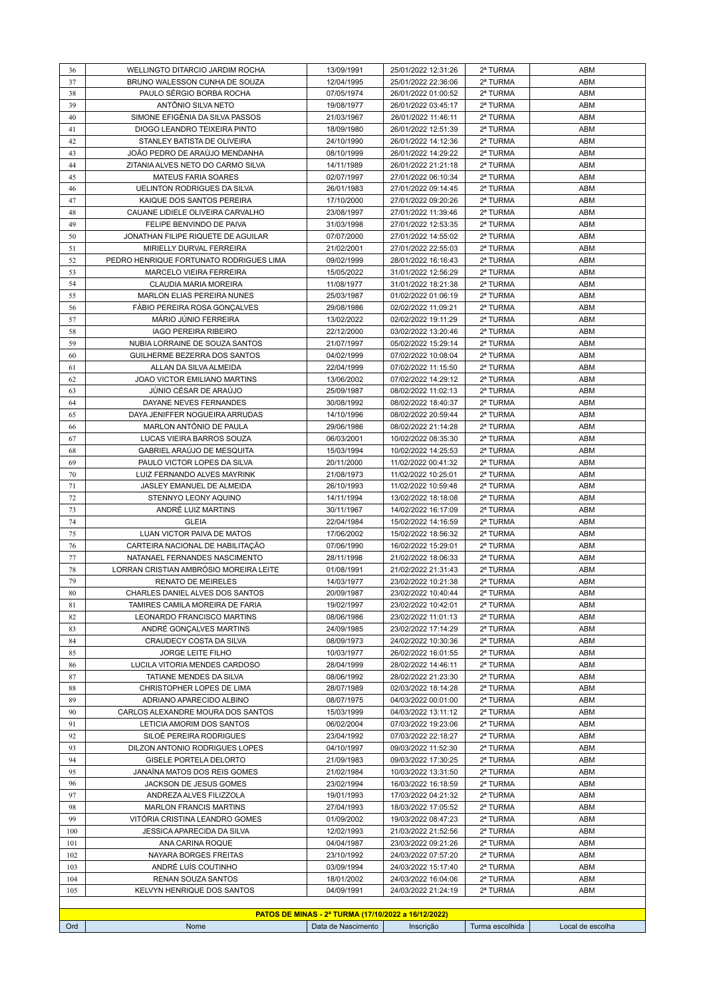| 36       | WELLINGTO DITARCIO JARDIM ROCHA                                 | 13/09/1991                                          | 25/01/2022 12:31:26                        | 2ª TURMA             | ABM              |
|----------|-----------------------------------------------------------------|-----------------------------------------------------|--------------------------------------------|----------------------|------------------|
| 37       | BRUNO WALESSON CUNHA DE SOUZA                                   | 12/04/1995                                          | 25/01/2022 22:36:06                        | 2ª TURMA             | ABM              |
| 38       | PAULO SÉRGIO BORBA ROCHA                                        | 07/05/1974                                          | 26/01/2022 01:00:52                        | 2ª TURMA             | ABM              |
| 39       | ANTÔNIO SILVA NETO                                              | 19/08/1977                                          | 26/01/2022 03:45:17                        | 2ª TURMA             | ABM              |
| 40       | SIMONE EFIGÊNIA DA SILVA PASSOS                                 | 21/03/1967                                          | 26/01/2022 11:46:11                        | 2ª TURMA             | ABM              |
| 41       | DIOGO LEANDRO TEIXEIRA PINTO                                    | 18/09/1980                                          | 26/01/2022 12:51:39                        | 2ª TURMA             | ABM              |
| 42       | STANLEY BATISTA DE OLIVEIRA                                     | 24/10/1990                                          | 26/01/2022 14:12:36                        | 2ª TURMA             | ABM              |
| 43       | JOÃO PEDRO DE ARAÚJO MENDANHA                                   | 08/10/1999                                          | 26/01/2022 14:29:22                        | 2ª TURMA             | ABM              |
| 44       | ZITANIA ALVES NETO DO CARMO SILVA                               | 14/11/1989                                          | 26/01/2022 21:21:18                        | 2ª TURMA             | ABM              |
| 45       | <b>MATEUS FARIA SOARES</b>                                      | 02/07/1997<br>26/01/1983                            | 27/01/2022 06:10:34                        | 2ª TURMA             | ABM              |
| 46<br>47 | <b>UELINTON RODRIGUES DA SILVA</b><br>KAIQUE DOS SANTOS PEREIRA | 17/10/2000                                          | 27/01/2022 09:14:45<br>27/01/2022 09:20:26 | 2ª TURMA<br>2ª TURMA | ABM<br>ABM       |
| 48       | CAUANE LIDIELE OLIVEIRA CARVALHO                                | 23/08/1997                                          | 27/01/2022 11:39:46                        | 2ª TURMA             | ABM              |
| 49       | FELIPE BENVINDO DE PAIVA                                        | 31/03/1998                                          | 27/01/2022 12:53:35                        | 2ª TURMA             | ABM              |
| 50       | JONATHAN FILIPE RIQUETE DE AGUILAR                              | 07/07/2000                                          | 27/01/2022 14:55:02                        | 2ª TURMA             | ABM              |
| 51       | MIRIELLY DURVAL FERREIRA                                        | 21/02/2001                                          | 27/01/2022 22:55:03                        | 2ª TURMA             | ABM              |
| 52       | PEDRO HENRIQUE FORTUNATO RODRIGUES LIMA                         | 09/02/1999                                          | 28/01/2022 16:16:43                        | 2ª TURMA             | ABM              |
| 53       | <b>MARCELO VIEIRA FERREIRA</b>                                  | 15/05/2022                                          | 31/01/2022 12:56:29                        | 2ª TURMA             | ABM              |
| 54       | CLAUDIA MARIA MOREIRA                                           | 11/08/1977                                          | 31/01/2022 18:21:38                        | 2ª TURMA             | ABM              |
| 55       | MARLON ELIAS PEREIRA NUNES                                      | 25/03/1987                                          | 01/02/2022 01:06:19                        | 2ª TURMA             | <b>ABM</b>       |
| 56       | FÁBIO PEREIRA ROSA GONCALVES                                    | 29/08/1986                                          | 02/02/2022 11:09:21                        | 2ª TURMA             | ABM              |
| 57       | MÁRIO JÚNIO FERREIRA                                            | 13/02/2022                                          | 02/02/2022 19:11:29                        | 2ª TURMA             | ABM              |
| 58       | <b>IAGO PEREIRA RIBEIRO</b>                                     | 22/12/2000                                          | 03/02/2022 13:20:46                        | 2ª TURMA             | ABM              |
| 59       | NUBIA LORRAINE DE SOUZA SANTOS                                  | 21/07/1997                                          | 05/02/2022 15:29:14                        | 2ª TURMA             | ABM              |
| 60       | GUILHERME BEZERRA DOS SANTOS                                    | 04/02/1999                                          | 07/02/2022 10:08:04                        | 2ª TURMA             | ABM              |
| 61       | ALLAN DA SILVA ALMEIDA                                          | 22/04/1999                                          | 07/02/2022 11:15:50                        | 2ª TURMA             | <b>ABM</b>       |
| 62       | JOAO VICTOR EMILIANO MARTINS                                    | 13/06/2002                                          | 07/02/2022 14:29:12                        | 2ª TURMA             | ABM              |
| 63       | JÚNIO CÉSAR DE ARAÚJO                                           | 25/09/1987                                          | 08/02/2022 11:02:13                        | 2ª TURMA             | ABM              |
| 64<br>65 | DAYANE NEVES FERNANDES<br>DAYA JENIFFER NOGUEIRA ARRUDAS        | 30/08/1992                                          | 08/02/2022 18:40:37                        | 2ª TURMA             | <b>ABM</b>       |
| 66       | MARLON ANTÔNIO DE PAULA                                         | 14/10/1996<br>29/06/1986                            | 08/02/2022 20:59:44<br>08/02/2022 21:14:28 | 2ª TURMA<br>2ª TURMA | ABM<br>ABM       |
| 67       | LUCAS VIEIRA BARROS SOUZA                                       | 06/03/2001                                          | 10/02/2022 08:35:30                        | 2ª TURMA             | ABM              |
| 68       | GABRIEL ARAÚJO DE MESQUITA                                      | 15/03/1994                                          | 10/02/2022 14:25:53                        | 2ª TURMA             | ABM              |
| 69       | PAULO VICTOR LOPES DA SILVA                                     | 20/11/2000                                          | 11/02/2022 00:41:32                        | 2ª TURMA             | ABM              |
| 70       | LUIZ FERNANDO ALVES MAYRINK                                     | 21/08/1973                                          | 11/02/2022 10:25:01                        | 2ª TURMA             | ABM              |
| 71       | JASLEY EMANUEL DE ALMEIDA                                       | 26/10/1993                                          | 11/02/2022 10:59:48                        | 2ª TURMA             | ABM              |
| 72       | STENNYO LEONY AQUINO                                            | 14/11/1994                                          | 13/02/2022 18:18:08                        | 2ª TURMA             | ABM              |
| 73       | ANDRÉ LUIZ MARTINS                                              | 30/11/1967                                          | 14/02/2022 16:17:09                        | 2ª TURMA             | ABM              |
| 74       | <b>GLEIA</b>                                                    | 22/04/1984                                          | 15/02/2022 14:16:59                        | 2ª TURMA             | ABM              |
| 75       | LUAN VICTOR PAIVA DE MATOS                                      | 17/06/2002                                          | 15/02/2022 18:56:32                        | 2ª TURMA             | ABM              |
| 76       | CARTEIRA NACIONAL DE HABILITAÇÃO                                | 07/06/1990                                          | 16/02/2022 15:29:01                        | 2ª TURMA             | ABM              |
| 77       | NATANAEL FERNANDES NASCIMENTO                                   | 28/11/1998                                          | 21/02/2022 18:06:33                        | 2ª TURMA             | ABM              |
| 78       | LORRAN CRISTIAN AMBRÓSIO MOREIRA LEITE                          | 01/08/1991<br>14/03/1977                            | 21/02/2022 21:31:43<br>23/02/2022 10:21:38 | 2ª TURMA             | ABM              |
| 79<br>80 | <b>RENATO DE MEIRELES</b><br>CHARLES DANIEL ALVES DOS SANTOS    | 20/09/1987                                          | 23/02/2022 10:40:44                        | 2ª TURMA<br>2ª TURMA | ABM<br>ABM       |
| 81       | TAMIRES CAMILA MOREIRA DE FARIA                                 | 19/02/1997                                          | 23/02/2022 10:42:01                        | 2ª TURMA             | ABM              |
| 82       | LEONARDO FRANCISCO MARTINS                                      | 08/06/1986                                          | 23/02/2022 11:01:13                        | 2ª TURMA             | ABM              |
| 83       | ANDRÉ GONÇALVES MARTINS                                         | 24/09/1985                                          | 23/02/2022 17:14:29                        | 2ª TURMA             | <b>ABM</b>       |
| 84       | CRAUDECY COSTA DA SILVA                                         | 08/09/1973                                          | 24/02/2022 10:30:36                        | 2ª TURMA             | ABM              |
| 85       | JORGE LEITE FILHO                                               | 10/03/1977                                          | 26/02/2022 16:01:55                        | 2ª TURMA             | ABM              |
| 86       | LUCILA VITORIA MENDES CARDOSO                                   | 28/04/1999                                          | 28/02/2022 14:46:11                        | 2ª TURMA             | <b>ABM</b>       |
| 87       | TATIANE MENDES DA SILVA                                         | 08/06/1992                                          | 28/02/2022 21:23:30                        | 2ª TURMA             | ABM              |
| 88       | CHRISTOPHER LOPES DE LIMA                                       | 28/07/1989                                          | 02/03/2022 18:14:28                        | 2ª TURMA             | ABM              |
| 89       | ADRIANO APARECIDO ALBINO                                        | 08/07/1975                                          | 04/03/2022 00:01:00                        | 2ª TURMA             | ABM              |
| 90       | CARLOS ALEXANDRE MOURA DOS SANTOS                               | 15/03/1999                                          | 04/03/2022 13:11:12                        | 2ª TURMA             | ABM              |
| 91       | LETICIA AMORIM DOS SANTOS                                       | 06/02/2004                                          | 07/03/2022 19:23:06                        | 2ª TURMA             | ABM              |
| 92       | SILOÉ PEREIRA RODRIGUES                                         | 23/04/1992                                          | 07/03/2022 22:18:27                        | 2ª TURMA             | ABM              |
| 93<br>94 | DILZON ANTONIO RODRIGUES LOPES<br>GISELE PORTELA DELORTO        | 04/10/1997<br>21/09/1983                            | 09/03/2022 11:52:30<br>09/03/2022 17:30:25 | 2ª TURMA<br>2ª TURMA | ABM<br>ABM       |
| 95       |                                                                 |                                                     |                                            |                      |                  |
| 96       | JANAÍNA MATOS DOS REIS GOMES<br>JACKSON DE JESUS GOMES          | 21/02/1984<br>23/02/1994                            | 10/03/2022 13:31:50<br>16/03/2022 16:18:59 | 2ª TURMA<br>2ª TURMA | ABM<br>ABM       |
| 97       | ANDREZA ALVES FILIZZOLA                                         | 19/01/1993                                          | 17/03/2022 04:21:32                        | 2ª TURMA             | ABM              |
| 98       | <b>MARLON FRANCIS MARTINS</b>                                   | 27/04/1993                                          | 18/03/2022 17:05:52                        | 2ª TURMA             | ABM              |
| 99       | VITÓRIA CRISTINA LEANDRO GOMES                                  | 01/09/2002                                          | 19/03/2022 08:47:23                        | 2ª TURMA             | ABM              |
| 100      | JESSICA APARECIDA DA SILVA                                      | 12/02/1993                                          | 21/03/2022 21:52:56                        | 2ª TURMA             | ABM              |
| 101      | ANA CARINA ROQUE                                                | 04/04/1987                                          | 23/03/2022 09:21:26                        | 2ª TURMA             | ABM              |
| 102      | NAYARA BORGES FREITAS                                           | 23/10/1992                                          | 24/03/2022 07:57:20                        | 2ª TURMA             | ABM              |
| 103      | ANDRÉ LUÍS COUTINHO                                             | 03/09/1994                                          | 24/03/2022 15:17:40                        | 2ª TURMA             | ABM              |
| 104      | RENAN SOUZA SANTOS                                              | 18/01/2002                                          | 24/03/2022 16:04:06                        | 2ª TURMA             | <b>ABM</b>       |
| 105      | KELVYN HENRIQUE DOS SANTOS                                      | 04/09/1991                                          | 24/03/2022 21:24:19                        | 2ª TURMA             | ABM              |
|          |                                                                 |                                                     |                                            |                      |                  |
|          |                                                                 | PATOS DE MINAS - 2ª TURMA (17/10/2022 a 16/12/2022) |                                            |                      |                  |
| Ord      | Nome                                                            | Data de Nascimento                                  | Inscrição                                  | Turma escolhida      | Local de escolha |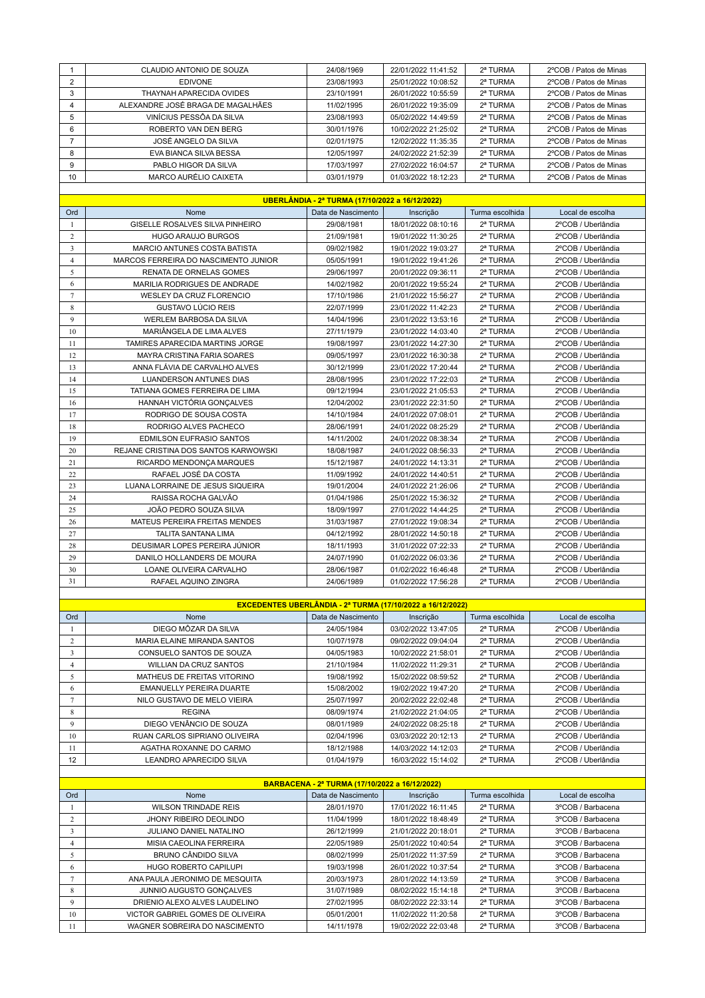|                | CLAUDIO ANTONIO DE SOUZA          | 24/08/1969 | 22/01/2022 11:41:52 | 2ª TURMA | 2°COB / Patos de Minas |
|----------------|-----------------------------------|------------|---------------------|----------|------------------------|
| $\overline{2}$ | <b>EDIVONE</b>                    | 23/08/1993 | 25/01/2022 10:08:52 | 2ª TURMA | 2°COB / Patos de Minas |
| 3              | THAYNAH APARECIDA OVIDES          | 23/10/1991 | 26/01/2022 10:55:59 | 2ª TURMA | 2°COB / Patos de Minas |
| 4              | ALEXANDRE JOSÉ BRAGA DE MAGALHÃES | 11/02/1995 | 26/01/2022 19:35:09 | 2ª TURMA | 2ºCOB / Patos de Minas |
| 5              | VINÍCIUS PESSÔA DA SILVA          | 23/08/1993 | 05/02/2022 14:49:59 | 2ª TURMA | 2°COB / Patos de Minas |
| 6              | ROBERTO VAN DEN BERG              | 30/01/1976 | 10/02/2022 21:25:02 | 2ª TURMA | 2°COB / Patos de Minas |
| $\overline{ }$ | JOSÉ ANGELO DA SILVA              | 02/01/1975 | 12/02/2022 11:35:35 | 2ª TURMA | 2°COB / Patos de Minas |
| 8              | EVA BIANCA SILVA BESSA            | 12/05/1997 | 24/02/2022 21:52:39 | 2ª TURMA | 2°COB / Patos de Minas |
| 9              | PABLO HIGOR DA SILVA              | 17/03/1997 | 27/02/2022 16:04:57 | 2ª TURMA | 2°COB / Patos de Minas |
| 10             | MARCO AURÉLIO CAIXETA             | 03/01/1979 | 01/03/2022 18:12:23 | 2ª TURMA | 2°COB / Patos de Minas |
|                |                                   |            |                     |          |                        |

|                | UBERLÂNDIA - 2ª TURMA (17/10/2022 a 16/12/2022) |                    |                     |                 |                    |  |  |
|----------------|-------------------------------------------------|--------------------|---------------------|-----------------|--------------------|--|--|
| Ord            | Nome                                            | Data de Nascimento | Inscrição           | Turma escolhida | Local de escolha   |  |  |
| 1              | GISELLE ROSALVES SILVA PINHEIRO                 | 29/08/1981         | 18/01/2022 08:10:16 | 2ª TURMA        | 2°COB / Uberlândia |  |  |
| $\overline{c}$ | <b>HUGO ARAUJO BURGOS</b>                       | 21/09/1981         | 19/01/2022 11:30:25 | 2ª TURMA        | 2°COB / Uberlândia |  |  |
| $\overline{3}$ | MARCIO ANTUNES COSTA BATISTA                    | 09/02/1982         | 19/01/2022 19:03:27 | 2ª TURMA        | 2°COB / Uberlândia |  |  |
| $\overline{4}$ | MARCOS FERREIRA DO NASCIMENTO JUNIOR            | 05/05/1991         | 19/01/2022 19:41:26 | 2ª TURMA        | 2°COB / Uberlândia |  |  |
| 5              | <b>RENATA DE ORNELAS GOMES</b>                  | 29/06/1997         | 20/01/2022 09:36:11 | 2ª TURMA        | 2°COB / Uberlândia |  |  |
| 6              | MARILIA RODRIGUES DE ANDRADE                    | 14/02/1982         | 20/01/2022 19:55:24 | 2ª TURMA        | 2°COB / Uberlândia |  |  |
| $\tau$         | <b>WESLEY DA CRUZ FLORENCIO</b>                 | 17/10/1986         | 21/01/2022 15:56:27 | 2ª TURMA        | 2°COB / Uberlândia |  |  |
| $\,$ 8 $\,$    | <b>GUSTAVO LÚCIO REIS</b>                       | 22/07/1999         | 23/01/2022 11:42:23 | 2ª TURMA        | 2°COB / Uberlândia |  |  |
| 9              | <b>WERLEM BARBOSA DA SILVA</b>                  | 14/04/1996         | 23/01/2022 13:53:16 | 2ª TURMA        | 2°COB / Uberlândia |  |  |
| 10             | MARIÂNGELA DE LIMA ALVES                        | 27/11/1979         | 23/01/2022 14:03:40 | 2ª TURMA        | 2°COB / Uberlândia |  |  |
| 11             | TAMIRES APARECIDA MARTINS JORGE                 | 19/08/1997         | 23/01/2022 14:27:30 | 2ª TURMA        | 2°COB / Uberlândia |  |  |
| 12             | <b>MAYRA CRISTINA FARIA SOARES</b>              | 09/05/1997         | 23/01/2022 16:30:38 | 2ª TURMA        | 2°COB / Uberlândia |  |  |
| 13             | ANNA FLÁVIA DE CARVALHO ALVES                   | 30/12/1999         | 23/01/2022 17:20:44 | 2ª TURMA        | 2°COB / Uberlândia |  |  |
| 14             | <b>LUANDERSON ANTUNES DIAS</b>                  | 28/08/1995         | 23/01/2022 17:22:03 | 2ª TURMA        | 2°COB / Uberlândia |  |  |
| 15             | TATIANA GOMES FERREIRA DE LIMA                  | 09/12/1994         | 23/01/2022 21:05:53 | 2ª TURMA        | 2°COB / Uberlândia |  |  |
| 16             | HANNAH VICTÓRIA GONCALVES                       | 12/04/2002         | 23/01/2022 22:31:50 | 2ª TURMA        | 2°COB / Uberlândia |  |  |
| 17             | RODRIGO DE SOUSA COSTA                          | 14/10/1984         | 24/01/2022 07:08:01 | 2ª TURMA        | 2°COB / Uberlândia |  |  |
| 18             | RODRIGO ALVES PACHECO                           | 28/06/1991         | 24/01/2022 08:25:29 | 2ª TURMA        | 2°COB / Uberlândia |  |  |
| 19             | <b>EDMILSON EUFRASIO SANTOS</b>                 | 14/11/2002         | 24/01/2022 08:38:34 | 2ª TURMA        | 2°COB / Uberlândia |  |  |
| 20             | REJANE CRISTINA DOS SANTOS KARWOWSKI            | 18/08/1987         | 24/01/2022 08:56:33 | 2ª TURMA        | 2°COB / Uberlândia |  |  |
| 21             | RICARDO MENDONÇA MARQUES                        | 15/12/1987         | 24/01/2022 14:13:31 | 2ª TURMA        | 2°COB / Uberlândia |  |  |
| 22             | RAFAEL JOSÉ DA COSTA                            | 11/09/1992         | 24/01/2022 14:40:51 | 2ª TURMA        | 2°COB / Uberlândia |  |  |
| 23             | LUANA LORRAINE DE JESUS SIQUEIRA                | 19/01/2004         | 24/01/2022 21:26:06 | 2ª TURMA        | 2°COB / Uberlândia |  |  |
| 24             | RAISSA ROCHA GALVÃO                             | 01/04/1986         | 25/01/2022 15:36:32 | 2ª TURMA        | 2°COB / Uberlândia |  |  |
| 25             | JOÃO PEDRO SOUZA SILVA                          | 18/09/1997         | 27/01/2022 14:44:25 | 2ª TURMA        | 2°COB / Uberlândia |  |  |
| 26             | MATEUS PEREIRA FREITAS MENDES                   | 31/03/1987         | 27/01/2022 19:08:34 | 2ª TURMA        | 2°COB / Uberlândia |  |  |
| 27             | <b>TALITA SANTANA LIMA</b>                      | 04/12/1992         | 28/01/2022 14:50:18 | 2ª TURMA        | 2°COB / Uberlândia |  |  |
| 28             | DEUSIMAR LOPES PEREIRA JÚNIOR                   | 18/11/1993         | 31/01/2022 07:22:33 | 2ª TURMA        | 2°COB / Uberlândia |  |  |
| 29             | DANILO HOLLANDERS DE MOURA                      | 24/07/1990         | 01/02/2022 06:03:36 | 2ª TURMA        | 2°COB / Uberlândia |  |  |
| 30             | LOANE OLIVEIRA CARVALHO                         | 28/06/1987         | 01/02/2022 16:46:48 | 2ª TURMA        | 2°COB / Uberlândia |  |  |
| 31             | RAFAEL AQUINO ZINGRA                            | 24/06/1989         | 01/02/2022 17:56:28 | 2ª TURMA        | 2°COB / Uberlândia |  |  |
|                |                                                 |                    |                     |                 |                    |  |  |

|                | EXCEDENTES UBERLÂNDIA - 2ª TURMA (17/10/2022 a 16/12/2022) |                    |                     |                 |                    |  |  |
|----------------|------------------------------------------------------------|--------------------|---------------------|-----------------|--------------------|--|--|
| Ord            | Nome                                                       | Data de Nascimento | Inscrição           | Turma escolhida | Local de escolha   |  |  |
|                | DIEGO MÔZAR DA SILVA                                       | 24/05/1984         | 03/02/2022 13:47:05 | 2ª TURMA        | 2°COB / Uberlândia |  |  |
| 2              | MARIA ELAINE MIRANDA SANTOS                                | 10/07/1978         | 09/02/2022 09:04:04 | 2ª TURMA        | 2°COB / Uberlândia |  |  |
| 3              | CONSUELO SANTOS DE SOUZA                                   | 04/05/1983         | 10/02/2022 21:58:01 | 2ª TURMA        | 2°COB / Uberlândia |  |  |
| 4              | WILLIAN DA CRUZ SANTOS                                     | 21/10/1984         | 11/02/2022 11:29:31 | 2ª TURMA        | 2°COB / Uberlândia |  |  |
| 5              | MATHEUS DE FREITAS VITORINO                                | 19/08/1992         | 15/02/2022 08:59:52 | 2ª TURMA        | 2°COB / Uberlândia |  |  |
| 6              | EMANUELLY PEREIRA DUARTE                                   | 15/08/2002         | 19/02/2022 19:47:20 | 2ª TURMA        | 2°COB / Uberlândia |  |  |
| $\overline{7}$ | NILO GUSTAVO DE MELO VIEIRA                                | 25/07/1997         | 20/02/2022 22:02:48 | 2ª TURMA        | 2°COB / Uberlândia |  |  |
| 8              | <b>REGINA</b>                                              | 08/09/1974         | 21/02/2022 21:04:05 | 2ª TURMA        | 2°COB / Uberlândia |  |  |
| 9              | DIEGO VENÂNCIO DE SOUZA                                    | 08/01/1989         | 24/02/2022 08:25:18 | 2ª TURMA        | 2°COB / Uberlândia |  |  |
| 10             | RUAN CARLOS SIPRIANO OLIVEIRA                              | 02/04/1996         | 03/03/2022 20:12:13 | 2ª TURMA        | 2°COB / Uberlândia |  |  |
| 11             | AGATHA ROXANNE DO CARMO                                    | 18/12/1988         | 14/03/2022 14:12:03 | 2ª TURMA        | 2°COB / Uberlândia |  |  |
| 12             | LEANDRO APARECIDO SILVA                                    | 01/04/1979         | 16/03/2022 15:14:02 | 2ª TURMA        | 2°COB / Uberlândia |  |  |
|                |                                                            |                    |                     |                 |                    |  |  |

|             | BARBACENA - 2ª TURMA (17/10/2022 a 16/12/2022) |                    |                     |                 |                   |  |  |  |  |
|-------------|------------------------------------------------|--------------------|---------------------|-----------------|-------------------|--|--|--|--|
| Ord         | Nome                                           | Data de Nascimento | Inscrição           | Turma escolhida | Local de escolha  |  |  |  |  |
|             | <b>WILSON TRINDADE REIS</b>                    | 28/01/1970         | 17/01/2022 16:11:45 | 2ª TURMA        | 3°COB / Barbacena |  |  |  |  |
|             | <b>JHONY RIBEIRO DEOLINDO</b>                  | 11/04/1999         | 18/01/2022 18:48:49 | 2ª TURMA        | 3°COB / Barbacena |  |  |  |  |
|             | <b>JULIANO DANIEL NATALINO</b>                 | 26/12/1999         | 21/01/2022 20:18:01 | 2ª TURMA        | 3°COB / Barbacena |  |  |  |  |
| 4           | MISIA CAEOLINA FERREIRA                        | 22/05/1989         | 25/01/2022 10:40:54 | 2ª TURMA        | 3°COB / Barbacena |  |  |  |  |
|             | <b>BRUNO CÂNDIDO SILVA</b>                     | 08/02/1999         | 25/01/2022 11:37:59 | 2ª TURMA        | 3°COB / Barbacena |  |  |  |  |
| 6           | HUGO ROBERTO CAPILUPI                          | 19/03/1998         | 26/01/2022 10:37:54 | 2ª TURMA        | 3°COB / Barbacena |  |  |  |  |
|             | ANA PAULA JERONIMO DE MESQUITA                 | 20/03/1973         | 28/01/2022 14:13:59 | 2ª TURMA        | 3°COB / Barbacena |  |  |  |  |
| 8           | JUNNIO AUGUSTO GONCALVES                       | 31/07/1989         | 08/02/2022 15:14:18 | 2ª TURMA        | 3°COB / Barbacena |  |  |  |  |
| $\mathbf Q$ | DRIENIO ALEXO ALVES LAUDELINO                  | 27/02/1995         | 08/02/2022 22:33:14 | 2ª TURMA        | 3°COB / Barbacena |  |  |  |  |
| 10          | VICTOR GABRIEL GOMES DE OLIVEIRA               | 05/01/2001         | 11/02/2022 11:20:58 | 2ª TURMA        | 3°COB / Barbacena |  |  |  |  |
|             | WAGNER SOBREIRA DO NASCIMENTO                  | 14/11/1978         | 19/02/2022 22:03:48 | 2ª TURMA        | 3°COB / Barbacena |  |  |  |  |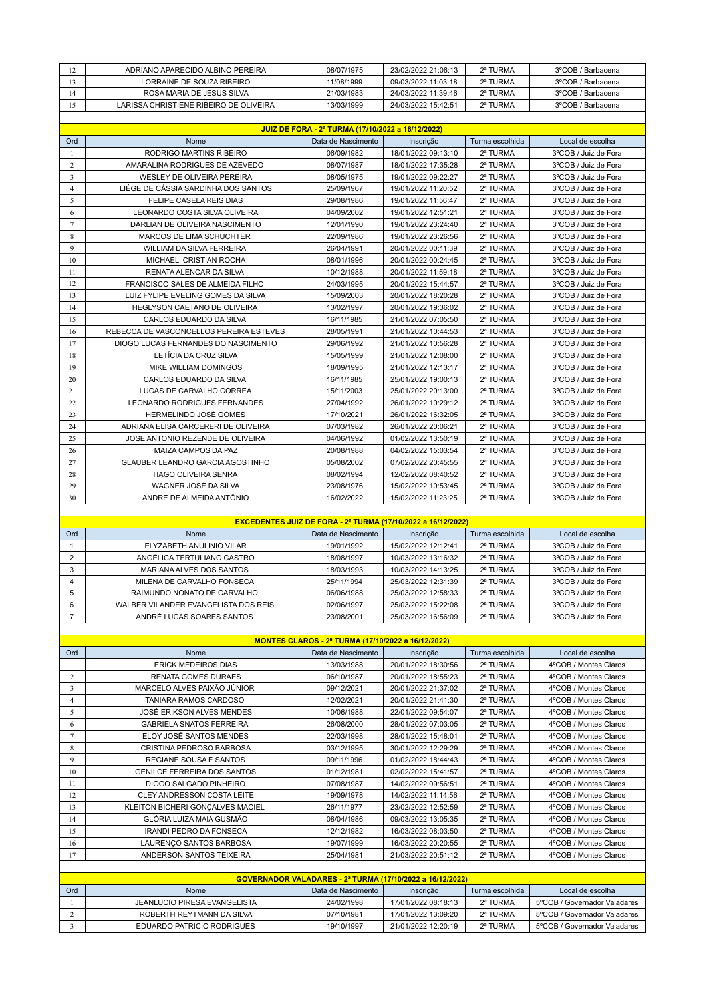| $\overline{1}$<br>. . | ADRIANO APARECIDO ALBINO PEREIRA       | 08/07/1975 | 23/02/2022 21:06:13 | 2ª TURMA | 3°COB / Barbacena |
|-----------------------|----------------------------------------|------------|---------------------|----------|-------------------|
|                       | LORRAINE DE SOUZA RIBEIRO              | 11/08/1999 | 09/03/2022 11:03:18 | 2ª TURMA | 3°COB / Barbacena |
| 14                    | ROSA MARIA DE JESUS SILVA              | 21/03/1983 | 24/03/2022 11:39:46 | 2ª TURMA | 3°COB / Barbacena |
|                       | LARISSA CHRISTIENE RIBEIRO DE OLIVEIRA | 13/03/1999 | 24/03/2022 15:42:51 | 2ª TURMA | 3°COB / Barbacena |
|                       |                                        |            |                     |          |                   |

|                | JUIZ DE FORA - 2ª TURMA (17/10/2022 a 16/12/2022) |                    |                     |                 |                      |  |  |
|----------------|---------------------------------------------------|--------------------|---------------------|-----------------|----------------------|--|--|
| Ord            | Nome                                              | Data de Nascimento | Inscrição           | Turma escolhida | Local de escolha     |  |  |
| $\mathbf{1}$   | RODRIGO MARTINS RIBEIRO                           | 06/09/1982         | 18/01/2022 09:13:10 | 2ª TURMA        | 3°COB / Juiz de Fora |  |  |
| $\overline{c}$ | AMARALINA RODRIGUES DE AZEVEDO                    | 08/07/1987         | 18/01/2022 17:35:28 | 2ª TURMA        | 3°COB / Juiz de Fora |  |  |
| 3              | <b>WESLEY DE OLIVEIRA PEREIRA</b>                 | 08/05/1975         | 19/01/2022 09:22:27 | 2ª TURMA        | 3°COB / Juiz de Fora |  |  |
| $\overline{4}$ | LIÉGE DE CÁSSIA SARDINHA DOS SANTOS               | 25/09/1967         | 19/01/2022 11:20:52 | 2ª TURMA        | 3°COB / Juiz de Fora |  |  |
| 5              | FELIPE CASELA REIS DIAS                           | 29/08/1986         | 19/01/2022 11:56:47 | 2ª TURMA        | 3°COB / Juiz de Fora |  |  |
| 6              | LEONARDO COSTA SILVA OLIVEIRA                     | 04/09/2002         | 19/01/2022 12:51:21 | 2ª TURMA        | 3°COB / Juiz de Fora |  |  |
| $\overline{7}$ | DARLIAN DE OLIVEIRA NASCIMENTO                    | 12/01/1990         | 19/01/2022 23:24:40 | 2ª TURMA        | 3°COB / Juiz de Fora |  |  |
| 8              | MARCOS DE LIMA SCHUCHTER                          | 22/09/1986         | 19/01/2022 23:26:56 | 2ª TURMA        | 3°COB / Juiz de Fora |  |  |
| 9              | <b>WILLIAM DA SILVA FERREIRA</b>                  | 26/04/1991         | 20/01/2022 00:11:39 | 2ª TURMA        | 3°COB / Juiz de Fora |  |  |
| 10             | MICHAEL CRISTIAN ROCHA                            | 08/01/1996         | 20/01/2022 00:24:45 | 2ª TURMA        | 3°COB / Juiz de Fora |  |  |
| 11             | RENATA ALENCAR DA SILVA                           | 10/12/1988         | 20/01/2022 11:59:18 | 2ª TURMA        | 3°COB / Juiz de Fora |  |  |
| 12             | FRANCISCO SALES DE ALMEIDA FILHO                  | 24/03/1995         | 20/01/2022 15:44:57 | 2ª TURMA        | 3°COB / Juiz de Fora |  |  |
| 13             | LUIZ FYLIPE EVELING GOMES DA SILVA                | 15/09/2003         | 20/01/2022 18:20:28 | 2ª TURMA        | 3°COB / Juiz de Fora |  |  |
| 14             | HEGLYSON CAETANO DE OLIVEIRA                      | 13/02/1997         | 20/01/2022 19:36:02 | 2ª TURMA        | 3°COB / Juiz de Fora |  |  |
| 15             | CARLOS EDUARDO DA SILVA                           | 16/11/1985         | 21/01/2022 07:05:50 | 2ª TURMA        | 3°COB / Juiz de Fora |  |  |
| 16             | REBECCA DE VASCONCELLOS PEREIRA ESTEVES           | 28/05/1991         | 21/01/2022 10:44:53 | 2ª TURMA        | 3°COB / Juiz de Fora |  |  |
| 17             | DIOGO LUCAS FERNANDES DO NASCIMENTO               | 29/06/1992         | 21/01/2022 10:56:28 | 2ª TURMA        | 3°COB / Juiz de Fora |  |  |
| 18             | LETÍCIA DA CRUZ SILVA                             | 15/05/1999         | 21/01/2022 12:08:00 | 2ª TURMA        | 3°COB / Juiz de Fora |  |  |
| 19             | MIKE WILLIAM DOMINGOS                             | 18/09/1995         | 21/01/2022 12:13:17 | 2ª TURMA        | 3°COB / Juiz de Fora |  |  |
| 20             | CARLOS EDUARDO DA SILVA                           | 16/11/1985         | 25/01/2022 19:00:13 | 2ª TURMA        | 3°COB / Juiz de Fora |  |  |
| 21             | LUCAS DE CARVALHO CORREA                          | 15/11/2003         | 25/01/2022 20:13:00 | 2ª TURMA        | 3°COB / Juiz de Fora |  |  |
| 22             | <b>LEONARDO RODRIGUES FERNANDES</b>               | 27/04/1992         | 26/01/2022 10:29:12 | 2ª TURMA        | 3°COB / Juiz de Fora |  |  |
| 23             | HERMELINDO JOSÉ GOMES                             | 17/10/2021         | 26/01/2022 16:32:05 | 2ª TURMA        | 3°COB / Juiz de Fora |  |  |
| 24             | ADRIANA ELISA CARCERERI DE OLIVEIRA               | 07/03/1982         | 26/01/2022 20:06:21 | 2ª TURMA        | 3°COB / Juiz de Fora |  |  |
| 25             | JOSE ANTONIO REZENDE DE OLIVEIRA                  | 04/06/1992         | 01/02/2022 13:50:19 | 2ª TURMA        | 3°COB / Juiz de Fora |  |  |
| 26             | MAIZA CAMPOS DA PAZ                               | 20/08/1988         | 04/02/2022 15:03:54 | 2ª TURMA        | 3°COB / Juiz de Fora |  |  |
| 27             | <b>GLAUBER LEANDRO GARCIA AGOSTINHO</b>           | 05/08/2002         | 07/02/2022 20:45:55 | 2ª TURMA        | 3°COB / Juiz de Fora |  |  |
| 28             | <b>TIAGO OLIVEIRA SENRA</b>                       | 08/02/1994         | 12/02/2022 08:40:52 | 2ª TURMA        | 3°COB / Juiz de Fora |  |  |
| 29             | WAGNER JOSÉ DA SILVA                              | 23/08/1976         | 15/02/2022 10:53:45 | 2ª TURMA        | 3°COB / Juiz de Fora |  |  |
| 30             | ANDRE DE ALMEIDA ANTÔNIO                          | 16/02/2022         | 15/02/2022 11:23:25 | 2ª TURMA        | 3°COB / Juiz de Fora |  |  |

|       |                         | <b>EXCEDENTES JUIZ DE FORA - 2ª TURMA (17/10/2022 a 16/12/2022)</b>                                                                                                                                                                                                                                                                                                                                                                                                                   |                                 |
|-------|-------------------------|---------------------------------------------------------------------------------------------------------------------------------------------------------------------------------------------------------------------------------------------------------------------------------------------------------------------------------------------------------------------------------------------------------------------------------------------------------------------------------------|---------------------------------|
| $  -$ | India de Medicines de I | $\mathbf{1} \cdot \mathbf{1} \cdot \mathbf{1} \cdot \mathbf{1} \cdot \mathbf{1} \cdot \mathbf{1} \cdot \mathbf{1} \cdot \mathbf{1} \cdot \mathbf{1} \cdot \mathbf{1} \cdot \mathbf{1} \cdot \mathbf{1} \cdot \mathbf{1} \cdot \mathbf{1} \cdot \mathbf{1} \cdot \mathbf{1} \cdot \mathbf{1} \cdot \mathbf{1} \cdot \mathbf{1} \cdot \mathbf{1} \cdot \mathbf{1} \cdot \mathbf{1} \cdot \mathbf{1} \cdot \mathbf{1} \cdot \mathbf{1} \cdot \mathbf{1} \cdot \mathbf{1} \cdot \mathbf{$ | The company of the product of a |

| <b>Ord</b> | Nome                                 | Data de Nascimento | Inscricão           | Turma escolhida | Local de escolha     |
|------------|--------------------------------------|--------------------|---------------------|-----------------|----------------------|
|            | ELYZABETH ANULINIO VILAR             | 19/01/1992         | 15/02/2022 12:12:41 | 2ª TURMA        | 3°COB / Juiz de Fora |
|            | ANGÉLICA TERTULIANO CASTRO           | 18/08/1997         | 10/03/2022 13:16:32 | 2ª TURMA        | 3°COB / Juiz de Fora |
|            | MARIANA ALVES DOS SANTOS             | 18/03/1993         | 10/03/2022 14:13:25 | 2ª TURMA        | 3°COB / Juiz de Fora |
|            | MILENA DE CARVALHO FONSECA           | 25/11/1994         | 25/03/2022 12:31:39 | 2ª TURMA        | 3°COB / Juiz de Fora |
|            | RAIMUNDO NONATO DE CARVALHO          | 06/06/1988         | 25/03/2022 12:58:33 | 2ª TURMA        | 3°COB / Juiz de Fora |
|            | WALBER VILANDER EVANGELISTA DOS REIS | 02/06/1997         | 25/03/2022 15:22:08 | 2ª TURMA        | 3°COB / Juiz de Fora |
|            | ANDRÉ LUCAS SOARES SANTOS            | 23/08/2001         | 25/03/2022 16:56:09 | 2ª TURMA        | 3°COB / Juiz de Fora |

| MONTES CLAROS - 2ª TURMA (17/10/2022 a 16/12/2022) |                                    |                    |                                                           |                 |                       |  |  |
|----------------------------------------------------|------------------------------------|--------------------|-----------------------------------------------------------|-----------------|-----------------------|--|--|
| Ord                                                | Nome                               | Data de Nascimento | Inscrição                                                 | Turma escolhida | Local de escolha      |  |  |
|                                                    | <b>ERICK MEDEIROS DIAS</b>         | 13/03/1988         | 20/01/2022 18:30:56                                       | 2ª TURMA        | 4°COB / Montes Claros |  |  |
| $\overline{2}$                                     | <b>RENATA GOMES DURAES</b>         | 06/10/1987         | 20/01/2022 18:55:23                                       | 2ª TURMA        | 4°COB / Montes Claros |  |  |
| 3                                                  | MARCELO ALVES PAIXÃO JÚNIOR        | 09/12/2021         | 20/01/2022 21:37:02                                       | 2ª TURMA        | 4°COB / Montes Claros |  |  |
| 4                                                  | TANIARA RAMOS CARDOSO              | 12/02/2021         | 20/01/2022 21:41:30                                       | 2ª TURMA        | 4°COB / Montes Claros |  |  |
| 5                                                  | <b>JOSÉ ERIKSON ALVES MENDES</b>   | 10/06/1988         | 22/01/2022 09:54:07                                       | 2ª TURMA        | 4°COB / Montes Claros |  |  |
| 6                                                  | <b>GABRIELA SNATOS FERREIRA</b>    | 26/08/2000         | 28/01/2022 07:03:05                                       | 2ª TURMA        | 4°COB / Montes Claros |  |  |
|                                                    | ELOY JOSÉ SANTOS MENDES            | 22/03/1998         | 28/01/2022 15:48:01                                       | 2ª TURMA        | 4°COB / Montes Claros |  |  |
| 8                                                  | CRISTINA PEDROSO BARBOSA           | 03/12/1995         | 30/01/2022 12:29:29                                       | 2ª TURMA        | 4°COB / Montes Claros |  |  |
| 9                                                  | <b>REGIANE SOUSA E SANTOS</b>      | 09/11/1996         | 01/02/2022 18:44:43                                       | 2ª TURMA        | 4°COB / Montes Claros |  |  |
| 10                                                 | <b>GENILCE FERREIRA DOS SANTOS</b> | 01/12/1981         | 02/02/2022 15:41:57                                       | 2ª TURMA        | 4°COB / Montes Claros |  |  |
| 11                                                 | <b>DIOGO SALGADO PINHEIRO</b>      | 07/08/1987         | 14/02/2022 09:56:51                                       | 2ª TURMA        | 4°COB / Montes Claros |  |  |
| 12                                                 | CLEY ANDRESSON COSTA LEITE         | 19/09/1978         | 14/02/2022 11:14:56                                       | 2ª TURMA        | 4°COB / Montes Claros |  |  |
| 13                                                 | KLEITON BICHERI GONÇALVES MACIEL   | 26/11/1977         | 23/02/2022 12:52:59                                       | 2ª TURMA        | 4°COB / Montes Claros |  |  |
| 14                                                 | GLÓRIA LUIZA MAIA GUSMÃO           | 08/04/1986         | 09/03/2022 13:05:35                                       | 2ª TURMA        | 4°COB / Montes Claros |  |  |
| 15                                                 | <b>IRANDI PEDRO DA FONSECA</b>     | 12/12/1982         | 16/03/2022 08:03:50                                       | 2ª TURMA        | 4°COB / Montes Claros |  |  |
| 16                                                 | LAURENÇO SANTOS BARBOSA            | 19/07/1999         | 16/03/2022 20:20:55                                       | 2ª TURMA        | 4°COB / Montes Claros |  |  |
| 17                                                 | ANDERSON SANTOS TEIXEIRA           | 25/04/1981         | 21/03/2022 20:51:12                                       | 2ª TURMA        | 4°COB / Montes Claros |  |  |
|                                                    |                                    |                    |                                                           |                 |                       |  |  |
|                                                    |                                    |                    | GOVERNADOR VALADARES - 2ª TURMA (17/10/2022 a 16/12/2022) |                 |                       |  |  |
|                                                    |                                    |                    |                                                           |                 |                       |  |  |

| GOVERNADOR VALADARES - 2ª TURMA (17/10/2022 a 16/12/2022) |                              |                    |                     |                 |                              |  |  |  |
|-----------------------------------------------------------|------------------------------|--------------------|---------------------|-----------------|------------------------------|--|--|--|
| Ord                                                       | Nome                         | Data de Nascimento | Inscricão           | Turma escolhida | Local de escolha             |  |  |  |
|                                                           | JEANLUCIO PIRESA EVANGELISTA | 24/02/1998         | 17/01/2022 08:18:13 | 2ª TURMA        | 5°COB / Governador Valadares |  |  |  |
|                                                           | ROBERTH REYTMANN DA SILVA    | 07/10/1981         | 17/01/2022 13:09:20 | 2ª TURMA        | 5°COB / Governador Valadares |  |  |  |
|                                                           | EDUARDO PATRICIO RODRIGUES   | 19/10/1997         | 21/01/2022 12:20:19 | 2ª TURMA        | 5°COB / Governador Valadares |  |  |  |